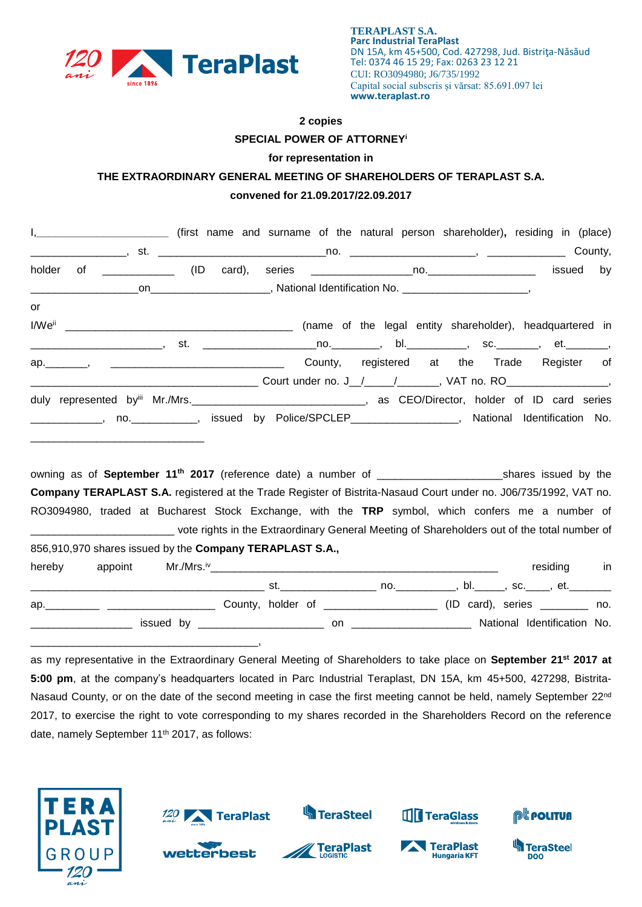

\_\_\_\_\_\_\_\_\_\_\_\_\_\_\_\_\_\_\_\_\_\_\_\_\_\_\_\_\_\_\_\_\_\_\_\_\_\_,

## **2 copies SPECIAL POWER OF ATTORNEY<sup>i</sup>**

## **for representation in**

## **THE EXTRAORDINARY GENERAL MEETING OF SHAREHOLDERS OF TERAPLAST S.A. convened for 21.09.2017/22.09.2017**

| I, ____________________________ (first name and surname of the natural person shareholder), residing in (place)              |  |                 |
|------------------------------------------------------------------------------------------------------------------------------|--|-----------------|
|                                                                                                                              |  |                 |
| holder                                                                                                                       |  | issued<br>by    |
|                                                                                                                              |  |                 |
| or                                                                                                                           |  |                 |
|                                                                                                                              |  |                 |
| _________________________, st.  ______________________no.___________, bl.____________, sc._________, et._________,           |  |                 |
| ap. , , , , , , , , , , , , County, registered at the Trade Register of                                                      |  |                 |
|                                                                                                                              |  |                 |
| duly represented byiii Mr./Mrs.<br>1992 - Anne Martin Mr. Director, holder of ID card series                                 |  |                 |
| _____________, no. ____________, issued by Police/SPCLEP__________________, National Identification No.                      |  |                 |
| owning as of September 11 <sup>th</sup> 2017 (reference date) a number of ______________________________shares issued by the |  |                 |
| Company TERAPLAST S.A. registered at the Trade Register of Bistrita-Nasaud Court under no. J06/735/1992, VAT no.             |  |                 |
| RO3094980, traded at Bucharest Stock Exchange, with the TRP symbol, which confers me a number of                             |  |                 |
| ______________________________ vote rights in the Extraordinary General Meeting of Shareholders out of the total number of   |  |                 |
| 856,910,970 shares issued by the Company TERAPLAST S.A.,                                                                     |  |                 |
| appoint<br>hereby                                                                                                            |  | residing<br>in. |
|                                                                                                                              |  |                 |
| ap. 10. All County, holder of 2000 2000 (ID card), series 2000 2000.                                                         |  |                 |
|                                                                                                                              |  |                 |

as my representative in the Extraordinary General Meeting of Shareholders to take place on **September 21st 2017 at 5:00 pm**, at the company's headquarters located in Parc Industrial Teraplast, DN 15A, km 45+500, 427298, Bistrita-Nasaud County, or on the date of the second meeting in case the first meeting cannot be held, namely September 22<sup>nd</sup> 2017, to exercise the right to vote corresponding to my shares recorded in the Shareholders Record on the reference date, namely September 11<sup>th</sup> 2017, as follows:

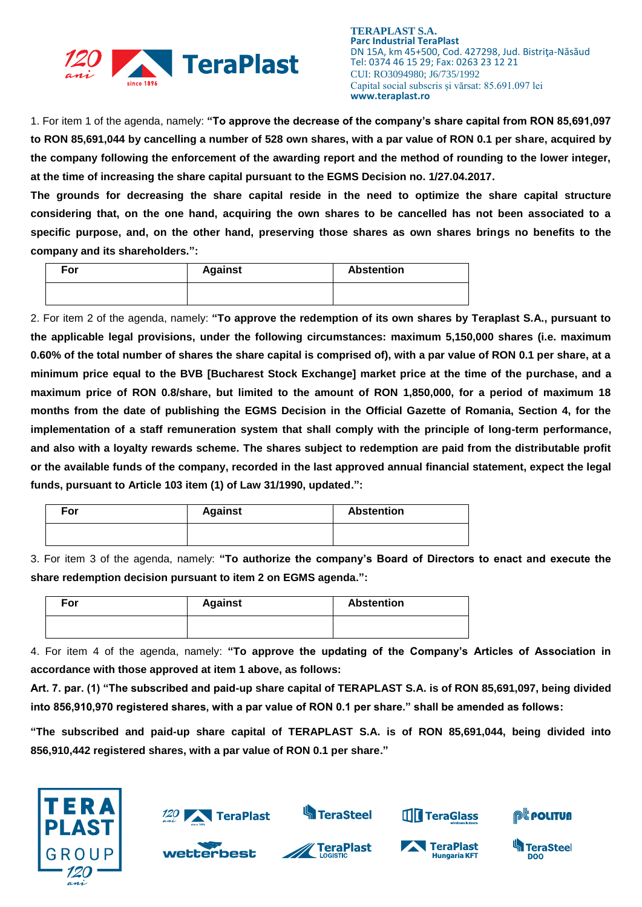

**TERAPLAST S.A. Parc Industrial TeraPlast** DN 15A, km 45+500, Cod. 427298, Jud. Bistriţa-Năsăud Tel: 0374 46 15 29; Fax: 0263 23 12 21 CUI: RO3094980; J6/735/1992 Capital social subscris și vărsat: 85.691.097 lei **www.teraplast.ro**

1. For item 1 of the agenda, namely: **"To approve the decrease of the company's share capital from RON 85,691,097 to RON 85,691,044 by cancelling a number of 528 own shares, with a par value of RON 0.1 per share, acquired by the company following the enforcement of the awarding report and the method of rounding to the lower integer, at the time of increasing the share capital pursuant to the EGMS Decision no. 1/27.04.2017.**

**The grounds for decreasing the share capital reside in the need to optimize the share capital structure considering that, on the one hand, acquiring the own shares to be cancelled has not been associated to a specific purpose, and, on the other hand, preserving those shares as own shares brings no benefits to the company and its shareholders.":**

| For | <b>Against</b> | <b>Abstention</b> |
|-----|----------------|-------------------|
|     |                |                   |

2. For item 2 of the agenda, namely: **"To approve the redemption of its own shares by Teraplast S.A., pursuant to the applicable legal provisions, under the following circumstances: maximum 5,150,000 shares (i.e. maximum 0.60% of the total number of shares the share capital is comprised of), with a par value of RON 0.1 per share, at a minimum price equal to the BVB [Bucharest Stock Exchange] market price at the time of the purchase, and a maximum price of RON 0.8/share, but limited to the amount of RON 1,850,000, for a period of maximum 18 months from the date of publishing the EGMS Decision in the Official Gazette of Romania, Section 4, for the implementation of a staff remuneration system that shall comply with the principle of long-term performance, and also with a loyalty rewards scheme. The shares subject to redemption are paid from the distributable profit or the available funds of the company, recorded in the last approved annual financial statement, expect the legal funds, pursuant to Article 103 item (1) of Law 31/1990, updated.":**

| For | <b>Against</b> | <b>Abstention</b> |
|-----|----------------|-------------------|
|     |                |                   |

3. For item 3 of the agenda, namely: **"To authorize the company's Board of Directors to enact and execute the share redemption decision pursuant to item 2 on EGMS agenda.":**

| For | <b>Against</b> | <b>Abstention</b> |
|-----|----------------|-------------------|
|     |                |                   |

4. For item 4 of the agenda, namely: **"To approve the updating of the Company's Articles of Association in accordance with those approved at item 1 above, as follows:**

**Art. 7. par. (1) "The subscribed and paid-up share capital of TERAPLAST S.A. is of RON 85,691,097, being divided into 856,910,970 registered shares, with a par value of RON 0.1 per share." shall be amended as follows:**

**"The subscribed and paid-up share capital of TERAPLAST S.A. is of RON 85,691,044, being divided into 856,910,442 registered shares, with a par value of RON 0.1 per share."**



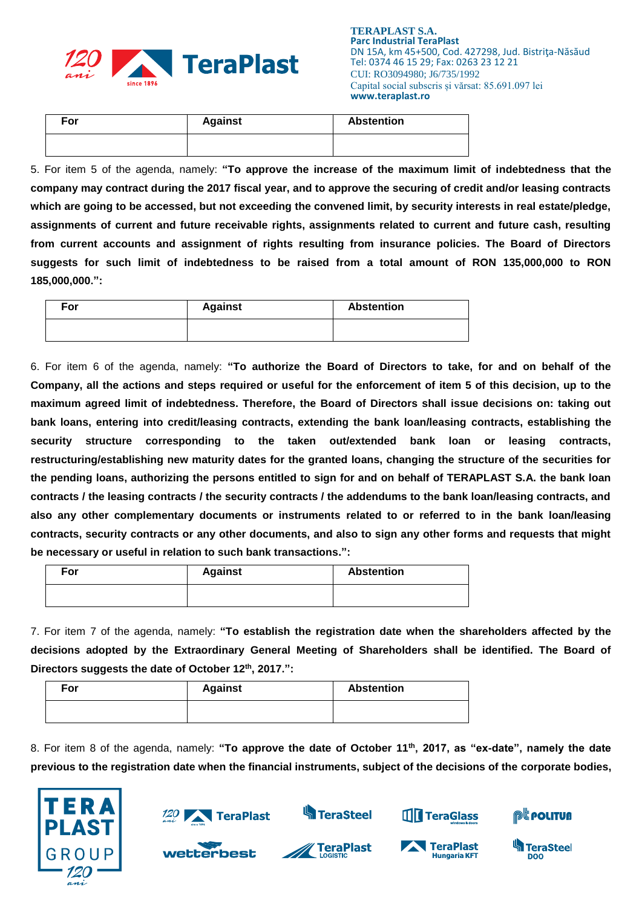

| For | <b>Against</b> | <b>Abstention</b> |
|-----|----------------|-------------------|
|     |                |                   |

5. For item 5 of the agenda, namely: **"To approve the increase of the maximum limit of indebtedness that the company may contract during the 2017 fiscal year, and to approve the securing of credit and/or leasing contracts which are going to be accessed, but not exceeding the convened limit, by security interests in real estate/pledge, assignments of current and future receivable rights, assignments related to current and future cash, resulting from current accounts and assignment of rights resulting from insurance policies. The Board of Directors suggests for such limit of indebtedness to be raised from a total amount of RON 135,000,000 to RON 185,000,000.":**

| For | <b>Against</b> | <b>Abstention</b> |
|-----|----------------|-------------------|
|     |                |                   |

6. For item 6 of the agenda, namely: **"To authorize the Board of Directors to take, for and on behalf of the Company, all the actions and steps required or useful for the enforcement of item 5 of this decision, up to the maximum agreed limit of indebtedness. Therefore, the Board of Directors shall issue decisions on: taking out bank loans, entering into credit/leasing contracts, extending the bank loan/leasing contracts, establishing the security structure corresponding to the taken out/extended bank loan or leasing contracts, restructuring/establishing new maturity dates for the granted loans, changing the structure of the securities for the pending loans, authorizing the persons entitled to sign for and on behalf of TERAPLAST S.A. the bank loan contracts / the leasing contracts / the security contracts / the addendums to the bank loan/leasing contracts, and also any other complementary documents or instruments related to or referred to in the bank loan/leasing contracts, security contracts or any other documents, and also to sign any other forms and requests that might be necessary or useful in relation to such bank transactions.":**

| For | <b>Against</b> | <b>Abstention</b> |
|-----|----------------|-------------------|
|     |                |                   |

7. For item 7 of the agenda, namely: **"To establish the registration date when the shareholders affected by the decisions adopted by the Extraordinary General Meeting of Shareholders shall be identified. The Board of Directors suggests the date of October 12th, 2017.":**

| For | <b>Against</b> | <b>Abstention</b> |
|-----|----------------|-------------------|
|     |                |                   |

8. For item 8 of the agenda, namely: **"To approve the date of October 11th, 2017, as "ex-date", namely the date previous to the registration date when the financial instruments, subject of the decisions of the corporate bodies,** 





wetterbest



**TeraPlast** 



TeraPlast

**Hungaria KFT** 



**TeraSteel** 

DOO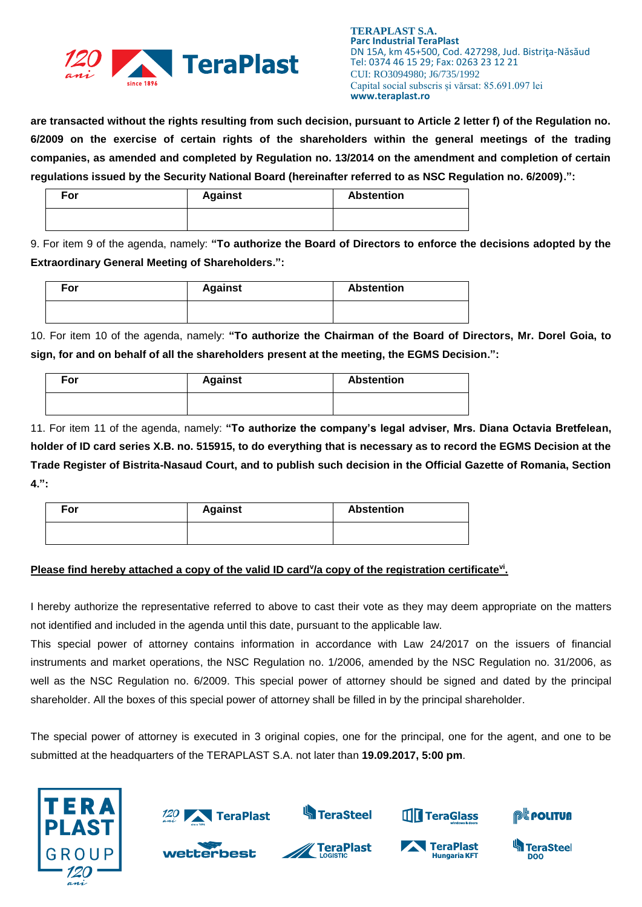

**TERAPLAST S.A. Parc Industrial TeraPlast** DN 15A, km 45+500, Cod. 427298, Jud. Bistriţa-Năsăud Tel: 0374 46 15 29; Fax: 0263 23 12 21 CUI: RO3094980; J6/735/1992 Capital social subscris și vărsat: 85.691.097 lei **www.teraplast.ro**

**are transacted without the rights resulting from such decision, pursuant to Article 2 letter f) of the Regulation no. 6/2009 on the exercise of certain rights of the shareholders within the general meetings of the trading companies, as amended and completed by Regulation no. 13/2014 on the amendment and completion of certain regulations issued by the Security National Board (hereinafter referred to as NSC Regulation no. 6/2009).":**

| For | <b>Against</b> | <b>Abstention</b> |
|-----|----------------|-------------------|
|     |                |                   |

9. For item 9 of the agenda, namely: **"To authorize the Board of Directors to enforce the decisions adopted by the Extraordinary General Meeting of Shareholders.":**

| For | <b>Against</b> | <b>Abstention</b> |
|-----|----------------|-------------------|
|     |                |                   |

10. For item 10 of the agenda, namely: **"To authorize the Chairman of the Board of Directors, Mr. Dorel Goia, to sign, for and on behalf of all the shareholders present at the meeting, the EGMS Decision.":**

| For | <b>Against</b> | <b>Abstention</b> |
|-----|----------------|-------------------|
|     |                |                   |

11. For item 11 of the agenda, namely: **"To authorize the company's legal adviser, Mrs. Diana Octavia Bretfelean, holder of ID card series X.B. no. 515915, to do everything that is necessary as to record the EGMS Decision at the Trade Register of Bistrita-Nasaud Court, and to publish such decision in the Official Gazette of Romania, Section 4.":**

| For | <b>Against</b> | <b>Abstention</b> |
|-----|----------------|-------------------|
|     |                |                   |

## **Please find hereby attached a copy of the valid ID card<sup>y</sup>/a copy of the registration certificate<sup>vi</sup>.**

I hereby authorize the representative referred to above to cast their vote as they may deem appropriate on the matters not identified and included in the agenda until this date, pursuant to the applicable law.

This special power of attorney contains information in accordance with Law 24/2017 on the issuers of financial instruments and market operations, the NSC Regulation no. 1/2006, amended by the NSC Regulation no. 31/2006, as well as the NSC Regulation no. 6/2009. This special power of attorney should be signed and dated by the principal shareholder. All the boxes of this special power of attorney shall be filled in by the principal shareholder.

The special power of attorney is executed in 3 original copies, one for the principal, one for the agent, and one to be submitted at the headquarters of the TERAPLAST S.A. not later than **19.09.2017, 5:00 pm**.